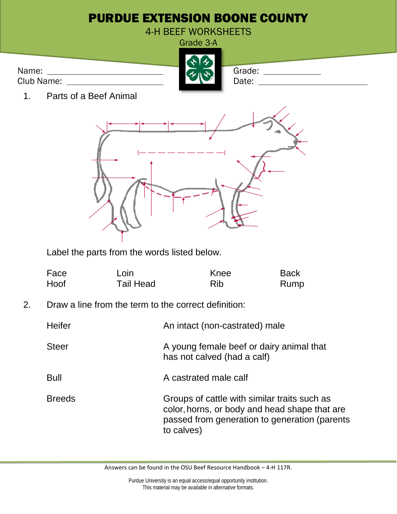

| Face | Loin             | Knee | <b>Back</b> |
|------|------------------|------|-------------|
| Hoof | <b>Tail Head</b> | Rib  | Rump        |

2. Draw a line from the term to the correct definition:

| Heifer        | An intact (non-castrated) male                                                                                                                               |
|---------------|--------------------------------------------------------------------------------------------------------------------------------------------------------------|
| <b>Steer</b>  | A young female beef or dairy animal that<br>has not calved (had a calf)                                                                                      |
| Bull          | A castrated male calf                                                                                                                                        |
| <b>Breeds</b> | Groups of cattle with similar traits such as<br>color, horns, or body and head shape that are<br>passed from generation to generation (parents<br>to calves) |